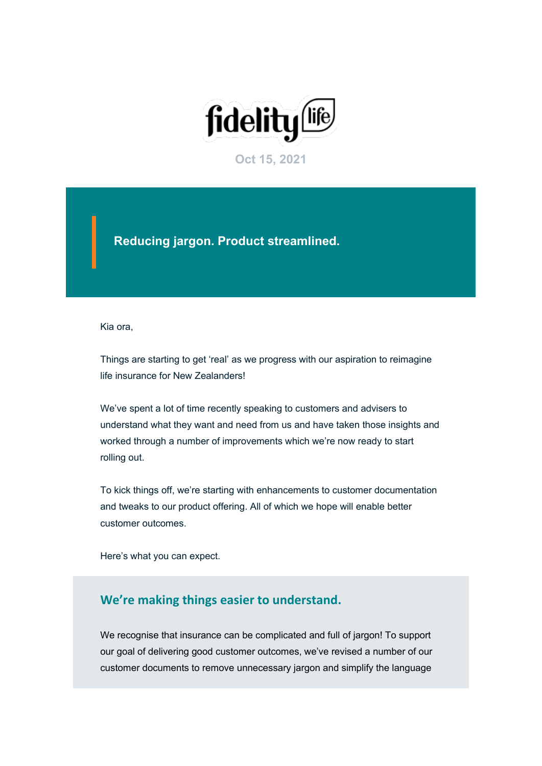

**Oct 15, 2021**

**Reducing jargon. Product streamlined.**

Kia ora,

Things are starting to get 'real' as we progress with our aspiration to reimagine life insurance for New Zealanders!

We've spent a lot of time recently speaking to customers and advisers to understand what they want and need from us and have taken those insights and worked through a number of improvements which we're now ready to start rolling out.

To kick things off, we're starting with enhancements to customer documentation and tweaks to our product offering. All of which we hope will enable better customer outcomes.

Here's what you can expect.

# **We're making things easier to understand.**

We recognise that insurance can be complicated and full of jargon! To support our goal of delivering good customer outcomes, we've revised a number of our customer documents to remove unnecessary jargon and simplify the language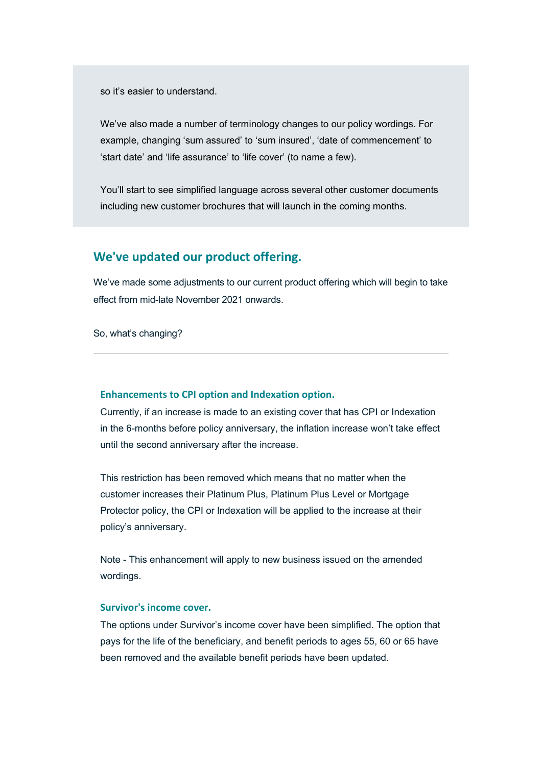so it's easier to understand.

We've also made a number of terminology changes to our policy wordings. For example, changing 'sum assured' to 'sum insured', 'date of commencement' to 'start date' and 'life assurance' to 'life cover' (to name a few).

You'll start to see simplified language across several other customer documents including new customer brochures that will launch in the coming months.

# **We've updated our product offering.**

We've made some adjustments to our current product offering which will begin to take effect from mid-late November 2021 onwards.

So, what's changing?

### **Enhancements to CPI option and Indexation option.**

Currently, if an increase is made to an existing cover that has CPI or Indexation in the 6-months before policy anniversary, the inflation increase won't take effect until the second anniversary after the increase.

This restriction has been removed which means that no matter when the customer increases their Platinum Plus, Platinum Plus Level or Mortgage Protector policy, the CPI or Indexation will be applied to the increase at their policy's anniversary.

Note - This enhancement will apply to new business issued on the amended wordings.

#### **Survivor's income cover.**

The options under Survivor's income cover have been simplified. The option that pays for the life of the beneficiary, and benefit periods to ages 55, 60 or 65 have been removed and the available benefit periods have been updated.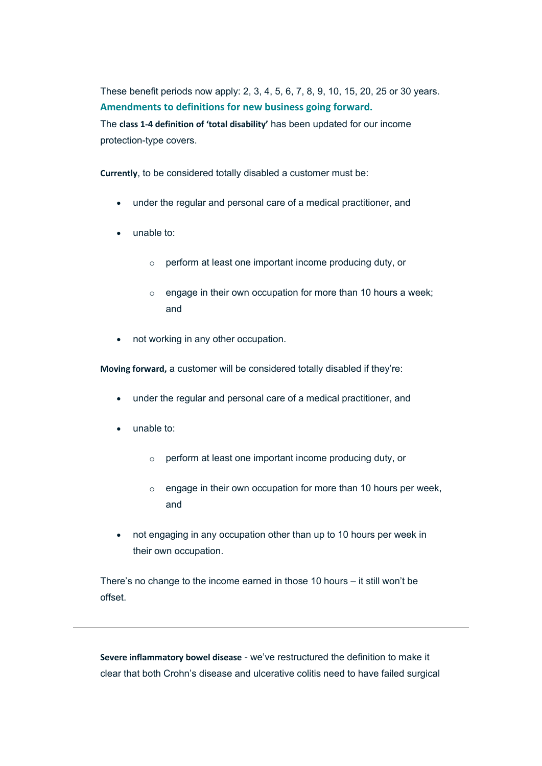These benefit periods now apply: 2, 3, 4, 5, 6, 7, 8, 9, 10, 15, 20, 25 or 30 years. **Amendments to definitions for new business going forward.**

The **class 1-4 definition of 'total disability'** has been updated for our income protection-type covers.

**Currently**, to be considered totally disabled a customer must be:

- under the regular and personal care of a medical practitioner, and
- unable to:
	- o perform at least one important income producing duty, or
	- o engage in their own occupation for more than 10 hours a week; and
- not working in any other occupation.

**Moving forward,** a customer will be considered totally disabled if they're:

- under the regular and personal care of a medical practitioner, and
- unable to:
	- o perform at least one important income producing duty, or
	- o engage in their own occupation for more than 10 hours per week, and
- not engaging in any occupation other than up to 10 hours per week in their own occupation.

There's no change to the income earned in those 10 hours – it still won't be offset.

**Severe inflammatory bowel disease** - we've restructured the definition to make it clear that both Crohn's disease and ulcerative colitis need to have failed surgical